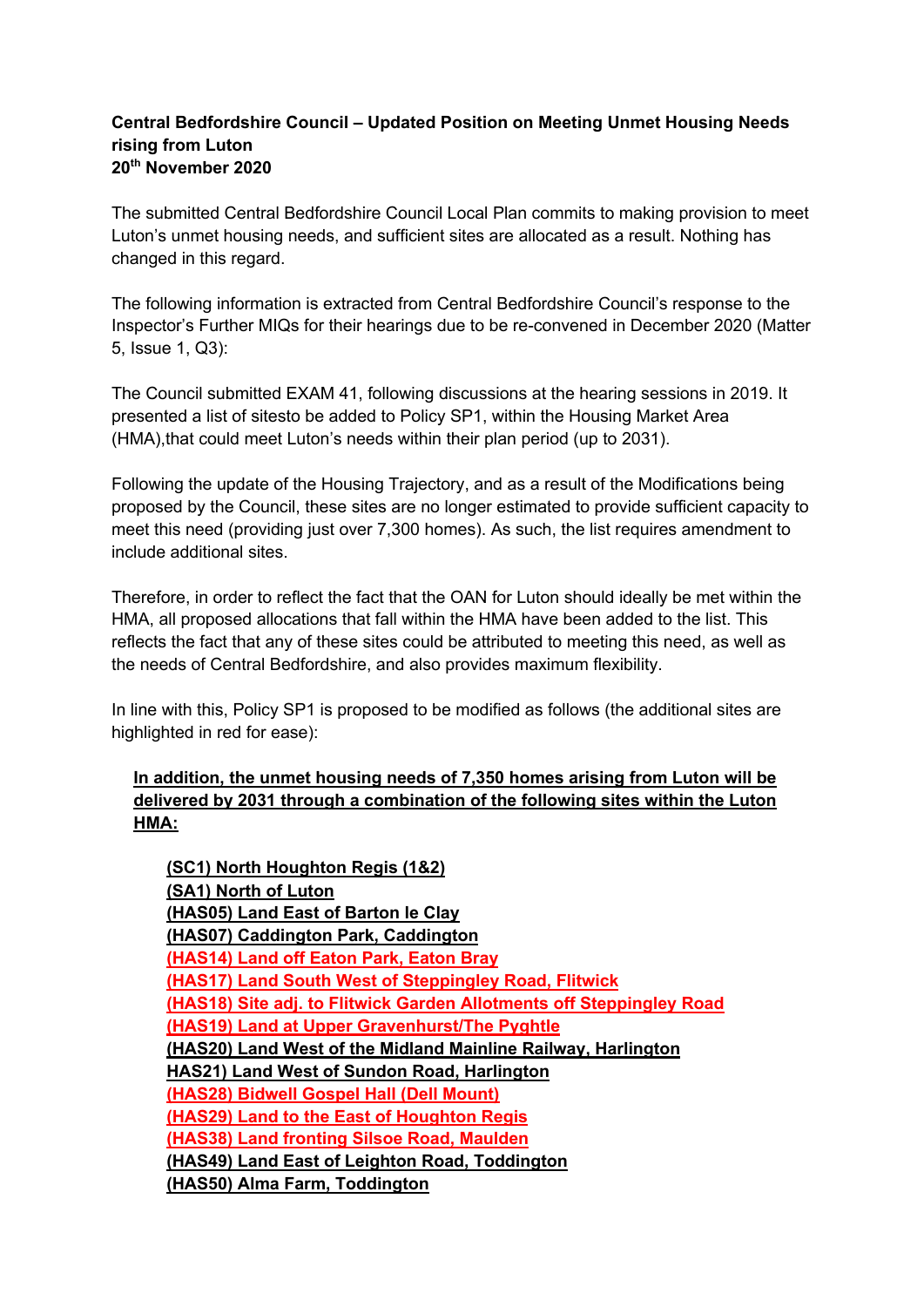## **Central Bedfordshire Council – Updated Position on Meeting Unmet Housing Needs rising from Luton 20th November 2020**

The submitted Central Bedfordshire Council Local Plan commits to making provision to meet Luton's unmet housing needs, and sufficient sites are allocated as a result. Nothing has changed in this regard.

The following information is extracted from Central Bedfordshire Council's response to the Inspector's Further MIQs for their hearings due to be re-convened in December 2020 (Matter 5, Issue 1, Q3):

The Council submitted EXAM 41, following discussions at the hearing sessions in 2019. It presented a list of sitesto be added to Policy SP1, within the Housing Market Area (HMA),that could meet Luton's needs within their plan period (up to 2031).

Following the update of the Housing Trajectory, and as a result of the Modifications being proposed by the Council, these sites are no longer estimated to provide sufficient capacity to meet this need (providing just over 7,300 homes). As such, the list requires amendment to include additional sites.

Therefore, in order to reflect the fact that the OAN for Luton should ideally be met within the HMA, all proposed allocations that fall within the HMA have been added to the list. This reflects the fact that any of these sites could be attributed to meeting this need, as well as the needs of Central Bedfordshire, and also provides maximum flexibility.

In line with this, Policy SP1 is proposed to be modified as follows (the additional sites are highlighted in red for ease):

## **In addition, the unmet housing needs of 7,350 homes arising from Luton will be delivered by 2031 through a combination of the following sites within the Luton HMA:**

**(SC1) North Houghton Regis (1&2) (SA1) North of Luton (HAS05) Land East of Barton le Clay (HAS07) Caddington Park, Caddington (HAS14) Land off Eaton Park, Eaton Bray (HAS17) Land South West of Steppingley Road, Flitwick (HAS18) Site adj. to Flitwick Garden Allotments off Steppingley Road (HAS19) Land at Upper Gravenhurst/The Pyghtle (HAS20) Land West of the Midland Mainline Railway, Harlington HAS21) Land West of Sundon Road, Harlington (HAS28) Bidwell Gospel Hall (Dell Mount) (HAS29) Land to the East of Houghton Regis (HAS38) Land fronting Silsoe Road, Maulden (HAS49) Land East of Leighton Road, Toddington (HAS50) Alma Farm, Toddington**